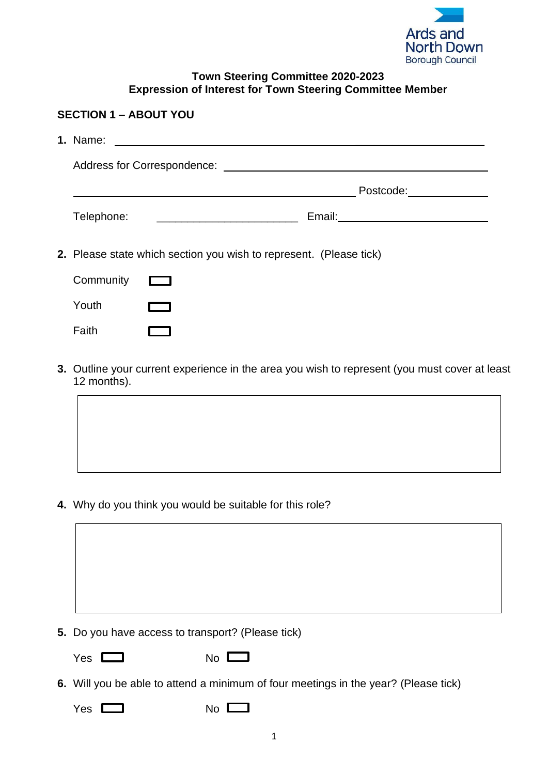

## **Town Steering Committee 2020-2023 Expression of Interest for Town Steering Committee Member**

| <b>SECTION 1 - ABOUT YOU</b> |            |                                                                    |  |
|------------------------------|------------|--------------------------------------------------------------------|--|
|                              | 1. Name:   |                                                                    |  |
|                              |            | Address for Correspondence: National Address for Correspondence:   |  |
|                              |            | Postcode: ___________                                              |  |
|                              | Telephone: |                                                                    |  |
|                              |            | 2. Please state which section you wish to represent. (Please tick) |  |
|                              | Community  |                                                                    |  |
|                              | Youth      |                                                                    |  |
|                              | Faith      |                                                                    |  |

**3.** Outline your current experience in the area you wish to represent (you must cover at least 12 months).

**4.** Why do you think you would be suitable for this role?

| Do you have access to transport? (Please tick) |
|------------------------------------------------|

- **5.** Do you have access to transport? (Please tick)
	-

Yes No

- **6.** Will you be able to attend a minimum of four meetings in the year? (Please tick)
	- Yes No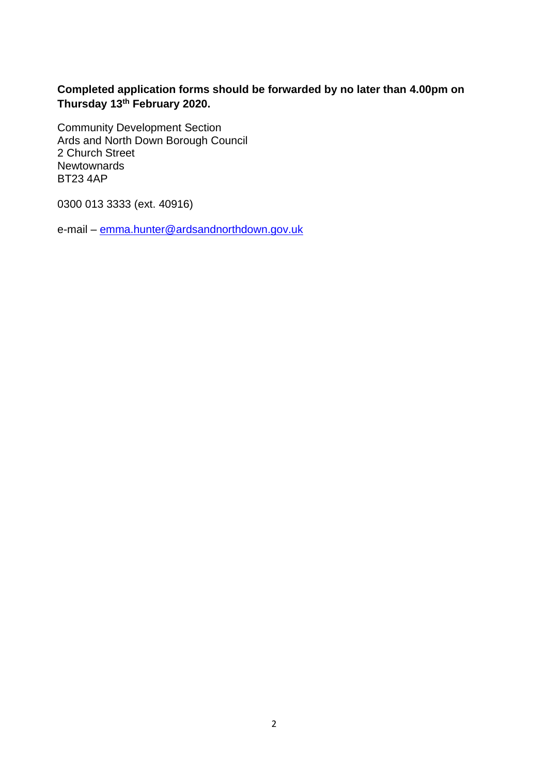**Completed application forms should be forwarded by no later than 4.00pm on Thursday 13th February 2020.**

Community Development Section Ards and North Down Borough Council 2 Church Street **Newtownards** BT23 4AP

0300 013 3333 (ext. 40916)

e-mail – [emma.hunter@ardsandnorthdown.gov.uk](mailto:emma.hunter@ardsandnorthdown.gov.uk)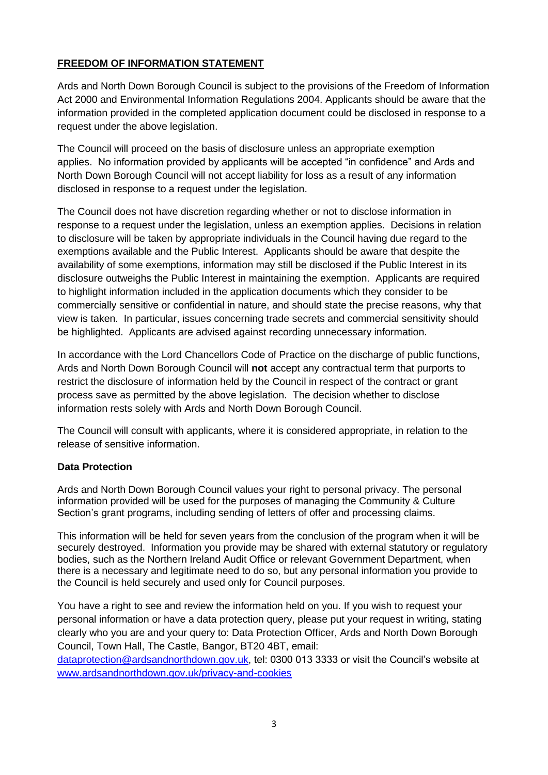## **FREEDOM OF INFORMATION STATEMENT**

Ards and North Down Borough Council is subject to the provisions of the Freedom of Information Act 2000 and Environmental Information Regulations 2004. Applicants should be aware that the information provided in the completed application document could be disclosed in response to a request under the above legislation.

The Council will proceed on the basis of disclosure unless an appropriate exemption applies. No information provided by applicants will be accepted "in confidence" and Ards and North Down Borough Council will not accept liability for loss as a result of any information disclosed in response to a request under the legislation.

The Council does not have discretion regarding whether or not to disclose information in response to a request under the legislation, unless an exemption applies. Decisions in relation to disclosure will be taken by appropriate individuals in the Council having due regard to the exemptions available and the Public Interest. Applicants should be aware that despite the availability of some exemptions, information may still be disclosed if the Public Interest in its disclosure outweighs the Public Interest in maintaining the exemption. Applicants are required to highlight information included in the application documents which they consider to be commercially sensitive or confidential in nature, and should state the precise reasons, why that view is taken. In particular, issues concerning trade secrets and commercial sensitivity should be highlighted. Applicants are advised against recording unnecessary information.

In accordance with the Lord Chancellors Code of Practice on the discharge of public functions, Ards and North Down Borough Council will **not** accept any contractual term that purports to restrict the disclosure of information held by the Council in respect of the contract or grant process save as permitted by the above legislation. The decision whether to disclose information rests solely with Ards and North Down Borough Council.

The Council will consult with applicants, where it is considered appropriate, in relation to the release of sensitive information.

## **Data Protection**

Ards and North Down Borough Council values your right to personal privacy. The personal information provided will be used for the purposes of managing the Community & Culture Section's grant programs, including sending of letters of offer and processing claims.

This information will be held for seven years from the conclusion of the program when it will be securely destroyed. Information you provide may be shared with external statutory or regulatory bodies, such as the Northern Ireland Audit Office or relevant Government Department, when there is a necessary and legitimate need to do so, but any personal information you provide to the Council is held securely and used only for Council purposes.

You have a right to see and review the information held on you. If you wish to request your personal information or have a data protection query, please put your request in writing, stating clearly who you are and your query to: Data Protection Officer, Ards and North Down Borough Council, Town Hall, The Castle, Bangor, BT20 4BT, email:

[dataprotection@ardsandnorthdown.gov.uk,](mailto:dataprotection@ardsandnorthdown.gov.uk) tel: 0300 013 3333 or visit the Council's website at [www.ardsandnorthdown.gov.uk/privacy-and-cookies](https://emea01.safelinks.protection.outlook.com/?url=http%3A%2F%2Fwww.ardsandnorthdown.gov.uk%2Fprivacy-and-cookies&data=02%7C01%7C%7C8e2a1c8cc6d044f6152408d5b675df15%7C39416dee5c8e4f5cb59d05c4bd0dd472%7C0%7C0%7C636615539713860416&sdata=uhLGOmj0zm2J7tgZ94MLmodldaFGe%2B%2FSIshgwCW6DlY%3D&reserved=0)